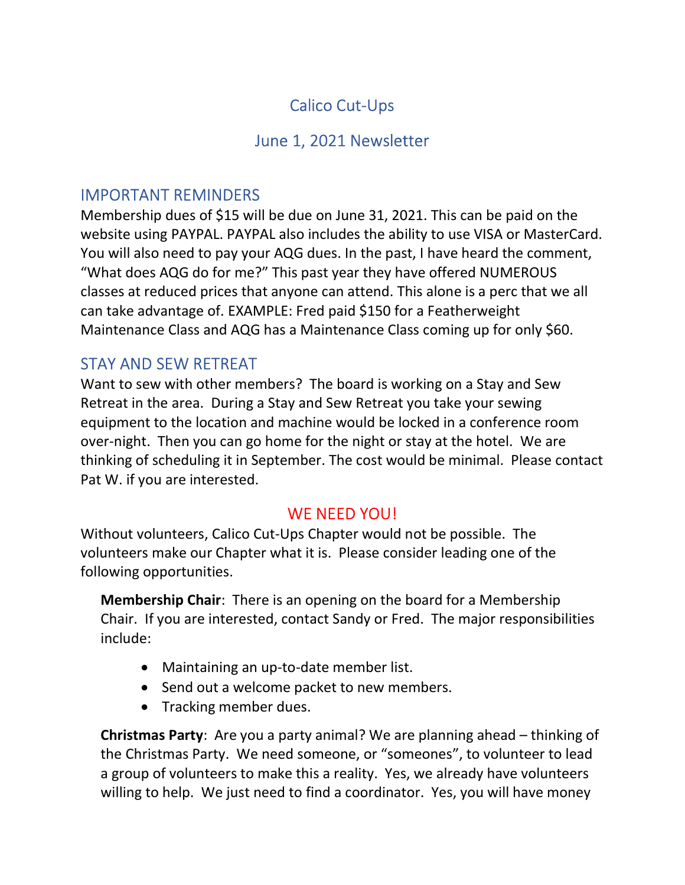# Calico Cut-Ups

## June 1, 2021 Newsletter

## IMPORTANT REMINDERS

Membership dues of \$15 will be due on June 31, 2021. This can be paid on the website using PAYPAL. PAYPAL also includes the ability to use VISA or MasterCard. You will also need to pay your AQG dues. In the past, I have heard the comment, "What does AQG do for me?" This past year they have offered NUMEROUS classes at reduced prices that anyone can attend. This alone is a perc that we all can take advantage of. EXAMPLE: Fred paid \$150 for a Featherweight Maintenance Class and AQG has a Maintenance Class coming up for only \$60.

## STAY AND SEW RETREAT

Want to sew with other members? The board is working on a Stay and Sew Retreat in the area. During a Stay and Sew Retreat you take your sewing equipment to the location and machine would be locked in a conference room over-night. Then you can go home for the night or stay at the hotel. We are thinking of scheduling it in September. The cost would be minimal. Please contact Pat W. if you are interested.

### WE NEED YOU!

Without volunteers, Calico Cut-Ups Chapter would not be possible. The volunteers make our Chapter what it is. Please consider leading one of the following opportunities.

**Membership Chair:** There is an opening on the board for a Membership Chair. If you are interested, contact Sandy or Fred. The major responsibilities include:

- Maintaining an up-to-date member list.
- Send out a welcome packet to new members.
- Tracking member dues.

Christmas Party: Are you a party animal? We are planning ahead – thinking of the Christmas Party. We need someone, or "someones", to volunteer to lead a group of volunteers to make this a reality. Yes, we already have volunteers willing to help. We just need to find a coordinator. Yes, you will have money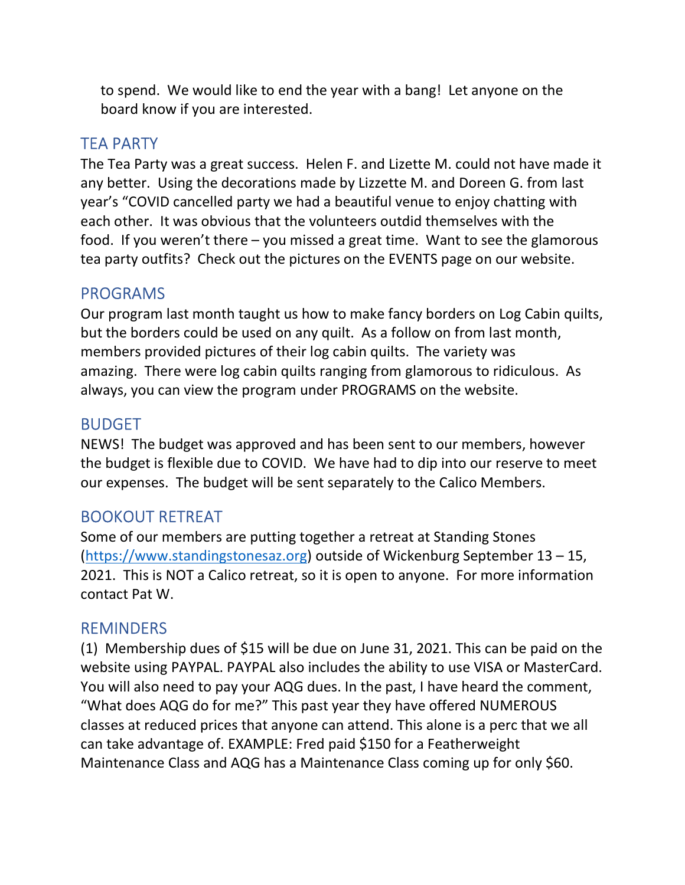to spend. We would like to end the year with a bang! Let anyone on the board know if you are interested.

### TEA PARTY

The Tea Party was a great success. Helen F. and Lizette M. could not have made it any better. Using the decorations made by Lizzette M. and Doreen G. from last year's "COVID cancelled party we had a beautiful venue to enjoy chatting with each other. It was obvious that the volunteers outdid themselves with the food. If you weren't there – you missed a great time. Want to see the glamorous tea party outfits? Check out the pictures on the EVENTS page on our website.

### PROGRAMS

Our program last month taught us how to make fancy borders on Log Cabin quilts, but the borders could be used on any quilt. As a follow on from last month, members provided pictures of their log cabin quilts. The variety was amazing. There were log cabin quilts ranging from glamorous to ridiculous. As always, you can view the program under PROGRAMS on the website.

#### BUDGET

NEWS! The budget was approved and has been sent to our members, however the budget is flexible due to COVID. We have had to dip into our reserve to meet our expenses. The budget will be sent separately to the Calico Members.

### BOOKOUT RETREAT

Some of our members are putting together a retreat at Standing Stones (https://www.standingstonesaz.org) outside of Wickenburg September 13 – 15, 2021. This is NOT a Calico retreat, so it is open to anyone. For more information contact Pat W.

#### REMINDERS

(1) Membership dues of \$15 will be due on June 31, 2021. This can be paid on the website using PAYPAL. PAYPAL also includes the ability to use VISA or MasterCard. You will also need to pay your AQG dues. In the past, I have heard the comment, "What does AQG do for me?" This past year they have offered NUMEROUS classes at reduced prices that anyone can attend. This alone is a perc that we all can take advantage of. EXAMPLE: Fred paid \$150 for a Featherweight Maintenance Class and AQG has a Maintenance Class coming up for only \$60.